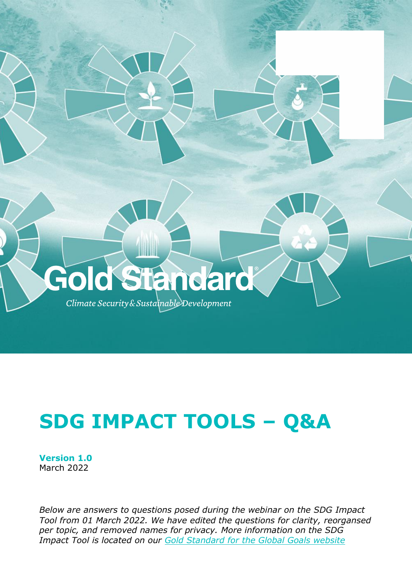

# **SDG IMPACT TOOLS – Q&A**

**Version 1.0** March 2022

*Below are answers to questions posed during the webinar on the SDG Impact Tool from 01 March 2022. We have edited the questions for clarity, reorgansed per topic, and removed names for privacy. More information on the SDG Impact Tool is located on our [Gold Standard for the Global Goals website](https://globalgoals.goldstandard.org/sdg-impact-tools/)*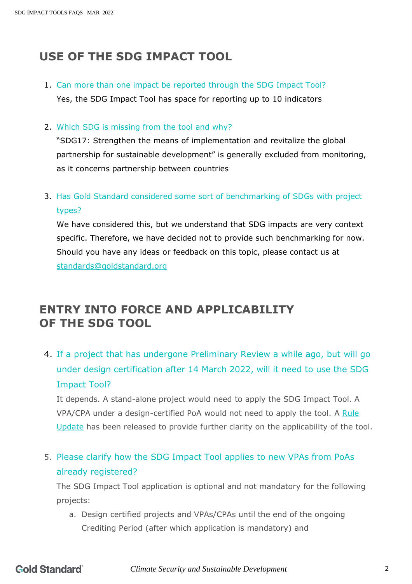# **USE OF THE SDG IMPACT TOOL**

- 1. Can more than one impact be reported through the SDG Impact Tool? Yes, the SDG Impact Tool has space for reporting up to 10 indicators
- 2. Which SDG is missing from the tool and why?

"SDG17: Strengthen the means of implementation and revitalize the global partnership for sustainable development" is generally excluded from monitoring, as it concerns partnership between countries

3. Has Gold Standard considered some sort of benchmarking of SDGs with project types?

We have considered this, but we understand that SDG impacts are very context specific. Therefore, we have decided not to provide such benchmarking for now. Should you have any ideas or feedback on this topic, please contact us at [standards@goldstandard.org](mailto:standards@goldstandard.org)

## **ENTRY INTO FORCE AND APPLICABILITY OF THE SDG TOOL**

4. If a project that has undergone Preliminary Review a while ago, but will go under design certification after 14 March 2022, will it need to use the SDG Impact Tool?

It depends. A stand-alone project would need to apply the SDG Impact Tool. A VPA/CPA under a design-certified PoA would not need to apply the tool. A [Rule](https://globalgoals.goldstandard.org/ru-2021-the-sdg-impact-tool/)  [Update](https://globalgoals.goldstandard.org/ru-2021-the-sdg-impact-tool/) has been released to provide further clarity on the applicability of the tool.

5. Please clarify how the SDG Impact Tool applies to new VPAs from PoAs already registered?

The SDG Impact Tool application is optional and not mandatory for the following projects:

a. Design certified projects and VPAs/CPAs until the end of the ongoing Crediting Period (after which application is mandatory) and

*Climate Security and Sustainable Development* 2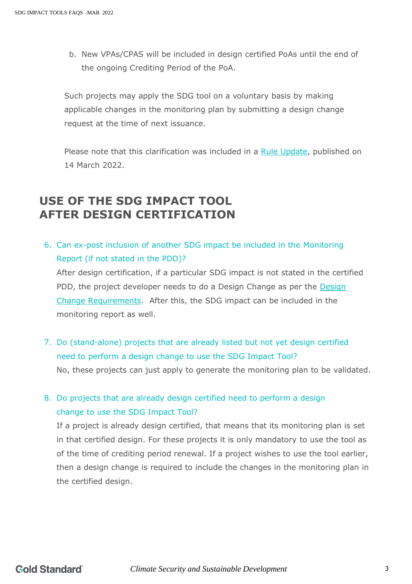b. New VPAs/CPAS will be included in design certified PoAs until the end of the ongoing Crediting Period of the PoA.

Such projects may apply the SDG tool on a voluntary basis by making applicable changes in the monitoring plan by submitting a design change request at the time of next issuance.

Please note that this clarification was included in a [Rule Update,](https://globalgoals.goldstandard.org/ru-2021-the-sdg-impact-tool/) published on 14 March 2022.

## **USE OF THE SDG IMPACT TOOL AFTER DESIGN CERTIFICATION**

6. Can ex-post inclusion of another SDG impact be included in the Monitoring Report (if not stated in the PDD)?

After design certification, if a particular SDG impact is not stated in the certified PDD, the project developer needs to do a Design Change as per the [Design](https://globalgoals.goldstandard.org/111-par-design-change-requirements/)  [Change Requirements.](https://globalgoals.goldstandard.org/111-par-design-change-requirements/) After this, the SDG impact can be included in the monitoring report as well.

7. Do (stand-alone) projects that are already listed but not yet design certified need to perform a design change to use the SDG Impact Tool? No, these projects can just apply to generate the monitoring plan to be validated.

8. Do projects that are already design certified need to perform a design change to use the SDG Impact Tool?

If a project is already design certified, that means that its monitoring plan is set in that certified design. For these projects it is only mandatory to use the tool as of the time of crediting period renewal. If a project wishes to use the tool earlier, then a design change is required to include the changes in the monitoring plan in the certified design.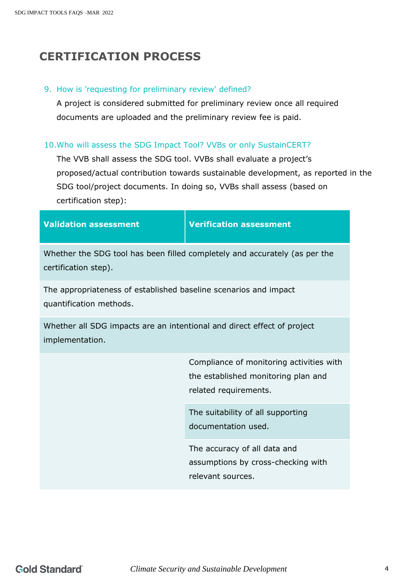# **CERTIFICATION PROCESS**

#### 9. How is 'requesting for preliminary review' defined?

A project is considered submitted for preliminary review once all required documents are uploaded and the preliminary review fee is paid.

#### 10.Who will assess the SDG Impact Tool? VVBs or only SustainCERT?

The VVB shall assess the SDG tool. VVBs shall evaluate a project's proposed/actual contribution towards sustainable development, as reported in the SDG tool/project documents. In doing so, VVBs shall assess (based on certification step):

|  | <b>Validation assessment</b> |  |
|--|------------------------------|--|
|  |                              |  |

**Validation assessment Verification assessment**

Whether the SDG tool has been filled completely and accurately (as per the certification step).

The appropriateness of established baseline scenarios and impact quantification methods.

Whether all SDG impacts are an intentional and direct effect of project implementation.

> Compliance of monitoring activities with the established monitoring plan and related requirements.

The suitability of all supporting documentation used.

The accuracy of all data and assumptions by cross-checking with relevant sources.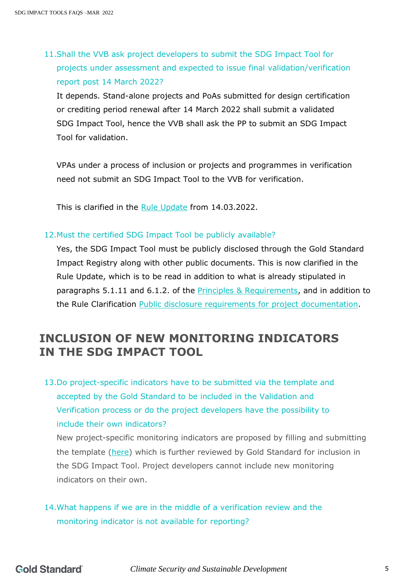11.Shall the VVB ask project developers to submit the SDG Impact Tool for projects under assessment and expected to issue final validation/verification report post 14 March 2022?

It depends. Stand-alone projects and PoAs submitted for design certification or crediting period renewal after 14 March 2022 shall submit a validated SDG Impact Tool, hence the VVB shall ask the PP to submit an SDG Impact Tool for validation.

VPAs under a process of inclusion or projects and programmes in verification need not submit an SDG Impact Tool to the VVB for verification.

This is clarified in the [Rule Update](https://globalgoals.goldstandard.org/ru-2021-the-sdg-impact-tool/) from 14.03.2022.

#### 12.Must the certified SDG Impact Tool be publicly available?

Yes, the SDG Impact Tool must be publicly disclosed through the Gold Standard Impact Registry along with other public documents. This is now clarified in the Rule Update, which is to be read in addition to what is already stipulated in paragraphs 5.1.11 and 6.1.2. of the **Principles & Requirements**, and in addition to the Rule Clarification [Public disclosure requirements for project documentation.](https://globalgoals.goldstandard.org/rc-2021-public-disclosure-requirements-for-project-documentation/)

## **INCLUSION OF NEW MONITORING INDICATORS IN THE SDG IMPACT TOOL**

13.Do project-specific indicators have to be submitted via the template and accepted by the Gold Standard to be included in the Validation and Verification process or do the project developers have the possibility to include their own indicators?

New project-specific monitoring indicators are proposed by filling and submitting the template [\(here\)](https://globalgoals.goldstandard.org/standards/T-IQ_v1.0-Proposal-Template-for-Monitoring-Indicators-for-inclusion-in-the-SDG-Impact-Tool.docx) which is further reviewed by Gold Standard for inclusion in the SDG Impact Tool. Project developers cannot include new monitoring indicators on their own.

### 14.What happens if we are in the middle of a verification review and the monitoring indicator is not available for reporting?